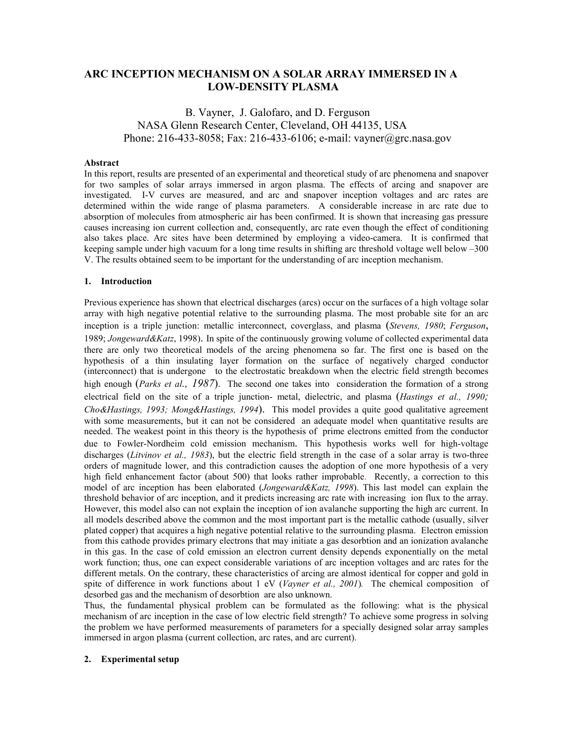# **ARC INCEPTION MECHANISM ON A SOLAR ARRAY IMMERSED IN A LOW-DENSITY PLASMA**

# B. Vayner, J. Galofaro, and D. Ferguson NASA Glenn Research Center, Cleveland, OH 44135, USA Phone: 216-433-8058; Fax: 216-433-6106; e-mail: vayner@grc.nasa.gov

## **Abstract**

In this report, results are presented of an experimental and theoretical study of arc phenomena and snapover for two samples of solar arrays immersed in argon plasma. The effects of arcing and snapover are investigated. I-V curves are measured, and arc and snapover inception voltages and arc rates are determined within the wide range of plasma parameters. A considerable increase in arc rate due to absorption of molecules from atmospheric air has been confirmed. It is shown that increasing gas pressure causes increasing ion current collection and, consequently, arc rate even though the effect of conditioning also takes place. Arc sites have been determined by employing a video-camera. It is confirmed that keeping sample under high vacuum for a long time results in shifting arc threshold voltage well below  $-300$ V. The results obtained seem to be important for the understanding of arc inception mechanism.

### **1. Introduction**

Previous experience has shown that electrical discharges (arcs) occur on the surfaces of a high voltage solar array with high negative potential relative to the surrounding plasma. The most probable site for an arc inception is a triple junction: metallic interconnect, coverglass, and plasma (*Stevens, 1980*; *Ferguson*, 1989; *Jongeward&Katz*, 1998). In spite of the continuously growing volume of collected experimental data there are only two theoretical models of the arcing phenomena so far. The first one is based on the hypothesis of a thin insulating layer formation on the surface of negatively charged conductor (interconnect) that is undergone to the electrostatic breakdown when the electric field strength becomes high enough (*Parks et al., 1987*). The second one takes into consideration the formation of a strong electrical field on the site of a triple junction- metal, dielectric, and plasma (*Hastings et al., 1990; Cho&Hastings, 1993; Mong&Hastings, 1994*). This model provides a quite good qualitative agreement with some measurements, but it can not be considered an adequate model when quantitative results are needed. The weakest point in this theory is the hypothesis of prime electrons emitted from the conductor due to Fowler-Nordheim cold emission mechanism. This hypothesis works well for high-voltage discharges (*Litvinov et al., 1983*), but the electric field strength in the case of a solar array is two-three orders of magnitude lower, and this contradiction causes the adoption of one more hypothesis of a very high field enhancement factor (about 500) that looks rather improbable. Recently, a correction to this model of arc inception has been elaborated (*Jongeward&Katz, 1998*). This last model can explain the threshold behavior of arc inception, and it predicts increasing arc rate with increasing ion flux to the array. However, this model also can not explain the inception of ion avalanche supporting the high arc current. In all models described above the common and the most important part is the metallic cathode (usually, silver plated copper) that acquires a high negative potential relative to the surrounding plasma. Electron emission from this cathode provides primary electrons that may initiate a gas desorbtion and an ionization avalanche in this gas. In the case of cold emission an electron current density depends exponentially on the metal work function; thus, one can expect considerable variations of arc inception voltages and arc rates for the different metals. On the contrary, these characteristics of arcing are almost identical for copper and gold in spite of difference in work functions about 1 eV (*Vayner et al., 2001*)*.* The chemical composition of desorbed gas and the mechanism of desorbtion are also unknown.

Thus, the fundamental physical problem can be formulated as the following: what is the physical mechanism of arc inception in the case of low electric field strength? To achieve some progress in solving the problem we have performed measurements of parameters for a specially designed solar array samples immersed in argon plasma (current collection, arc rates, and arc current).

## **2. Experimental setup**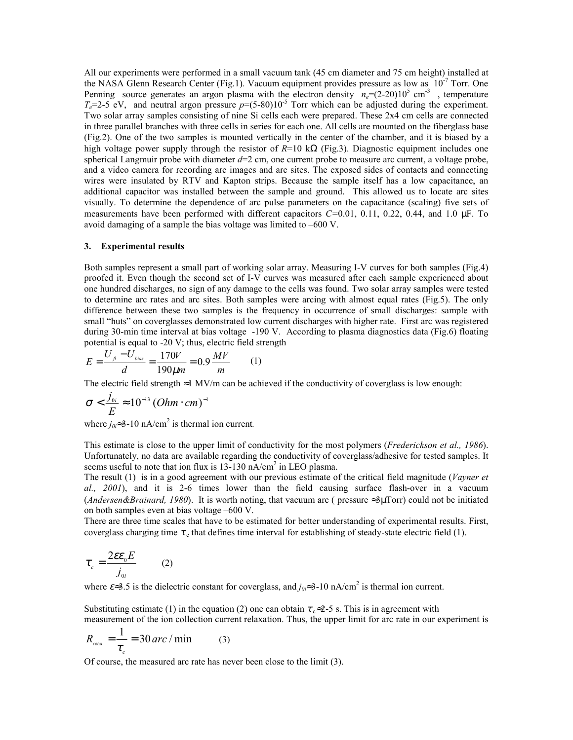All our experiments were performed in a small vacuum tank (45 cm diameter and 75 cm height) installed at the NASA Glenn Research Center (Fig.1). Vacuum equipment provides pressure as low as  $10^{-7}$  Torr. One Penning source generates an argon plasma with the electron density  $n_e = (2-20)10^5$  cm<sup>-3</sup>, temperature  $T_e$ =2-5 eV, and neutral argon pressure  $p$ =(5-80)10<sup>-5</sup> Torr which can be adjusted during the experiment. Two solar array samples consisting of nine Si cells each were prepared. These 2x4 cm cells are connected in three parallel branches with three cells in series for each one. All cells are mounted on the fiberglass base (Fig.2). One of the two samples is mounted vertically in the center of the chamber, and it is biased by a high voltage power supply through the resistor of *R*=10 kΩ (Fig.3). Diagnostic equipment includes one spherical Langmuir probe with diameter  $d=2$  cm, one current probe to measure arc current, a voltage probe, and a video camera for recording arc images and arc sites. The exposed sides of contacts and connecting wires were insulated by RTV and Kapton strips. Because the sample itself has a low capacitance, an additional capacitor was installed between the sample and ground. This allowed us to locate arc sites visually. To determine the dependence of arc pulse parameters on the capacitance (scaling) five sets of measurements have been performed with different capacitors *C=*0.01, 0.11, 0.22, 0.44, and 1.0 µF. To avoid damaging of a sample the bias voltage was limited to  $-600$  V.

### **3. Experimental results**

Both samples represent a small part of working solar array. Measuring I-V curves for both samples (Fig.4) proofed it. Even though the second set of I-V curves was measured after each sample experienced about one hundred discharges, no sign of any damage to the cells was found. Two solar array samples were tested to determine arc rates and arc sites. Both samples were arcing with almost equal rates (Fig.5). The only difference between these two samples is the frequency in occurrence of small discharges: sample with small "huts" on coverglasses demonstrated low current discharges with higher rate. First arc was registered during 30-min time interval at bias voltage -190 V. According to plasma diagnostics data (Fig.6) floating potential is equal to -20 V; thus, electric field strength

$$
E = \frac{U_{\scriptscriptstyle{A}} - U_{\scriptscriptstyle{bias}}}{d} = \frac{170V}{190\mu m} = 0.9 \frac{MV}{m} \tag{1}
$$

The electric field strength ≈1 MV/m can be achieved if the conductivity of coverglass is low enough:

$$
\sigma < \frac{j_{0i}}{E} \approx 10^{-13} (Ohm \cdot cm)^{-1}
$$

where  $j_{0} \approx 3$ -10 nA/cm<sup>2</sup> is thermal ion current.

This estimate is close to the upper limit of conductivity for the most polymers (*Frederickson et al., 1986*). Unfortunately, no data are available regarding the conductivity of coverglass/adhesive for tested samples. It seems useful to note that ion flux is  $13-130$  nA/cm<sup>2</sup> in LEO plasma.

The result (1) is in a good agreement with our previous estimate of the critical field magnitude (*Vayner et al., 2001*), and it is 2-6 times lower than the field causing surface flash-over in a vacuum (*Andersen&Brainard, 1980*). It is worth noting, that vacuum arc ( pressure ≈3µTorr) could not be initiated on both samples even at bias voltage  $-600$  V.

There are three time scales that have to be estimated for better understanding of experimental results. First, coverglass charging time  $\tau_c$  that defines time interval for establishing of steady-state electric field (1).

$$
\tau_c = \frac{2\epsilon \epsilon_0 E}{j_{0i}} \qquad (2)
$$

where  $\varepsilon \approx 3.5$  is the dielectric constant for coverglass, and  $j_{0} \approx 3{\text -}10$  nA/cm<sup>2</sup> is thermal ion current.

Substituting estimate (1) in the equation (2) one can obtain  $\tau_{\rm c} \approx 2-5$  s. This is in agreement with measurement of the ion collection current relaxation. Thus, the upper limit for arc rate in our experiment is

$$
R_{\text{max}} = \frac{1}{\tau_c} = 30 \text{ arc} / \text{min} \qquad (3)
$$

Of course, the measured arc rate has never been close to the limit (3).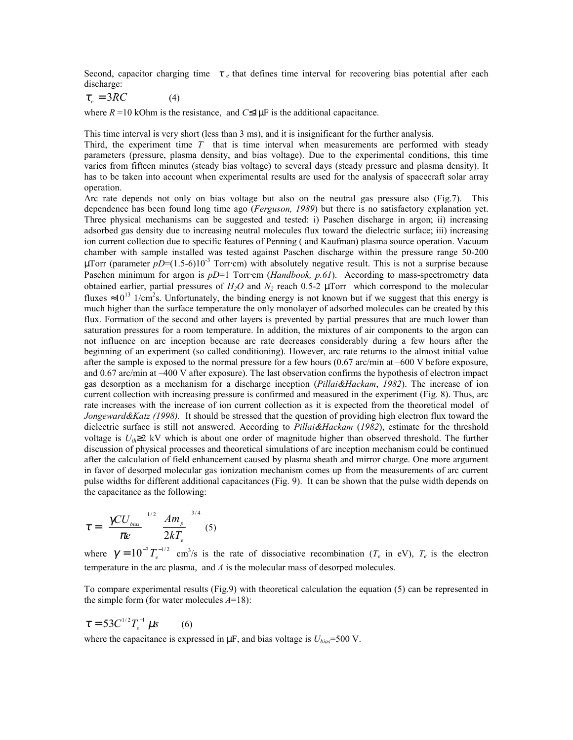Second, capacitor charging time  $\tau_e$  that defines time interval for recovering bias potential after each discharge:

$$
\tau_e = 3RC \tag{4}
$$

where  $R = 10$  kOhm is the resistance, and  $C \leq 1 \mu F$  is the additional capacitance.

This time interval is very short (less than 3 ms), and it is insignificant for the further analysis.

Third, the experiment time *T* that is time interval when measurements are performed with steady parameters (pressure, plasma density, and bias voltage). Due to the experimental conditions, this time varies from fifteen minutes (steady bias voltage) to several days (steady pressure and plasma density). It has to be taken into account when experimental results are used for the analysis of spacecraft solar array operation.

Arc rate depends not only on bias voltage but also on the neutral gas pressure also (Fig.7). This dependence has been found long time ago (*Ferguson, 1989*) but there is no satisfactory explanation yet. Three physical mechanisms can be suggested and tested: i) Paschen discharge in argon; ii) increasing adsorbed gas density due to increasing neutral molecules flux toward the dielectric surface; iii) increasing ion current collection due to specific features of Penning ( and Kaufman) plasma source operation. Vacuum chamber with sample installed was tested against Paschen discharge within the pressure range 50-200  $\mu$ Torr (parameter *pD*=(1.5-6)10<sup>-3</sup> Torr⋅cm) with absolutely negative result. This is not a surprise because Paschen minimum for argon is *pD*=1 Torr⋅cm (*Handbook, p.61*). According to mass-spectrometry data obtained earlier, partial pressures of  $H_2O$  and  $N_2$  reach 0.5-2  $\mu$ Torr which correspond to the molecular fluxes  $\approx 10^{13}$  1/cm<sup>2</sup>s. Unfortunately, the binding energy is not known but if we suggest that this energy is much higher than the surface temperature the only monolayer of adsorbed molecules can be created by this flux. Formation of the second and other layers is prevented by partial pressures that are much lower than saturation pressures for a room temperature. In addition, the mixtures of air components to the argon can not influence on arc inception because arc rate decreases considerably during a few hours after the beginning of an experiment (so called conditioning). However, arc rate returns to the almost initial value after the sample is exposed to the normal pressure for a few hours  $(0.67 \text{ arc/min at } -600 \text{ V}$  before exposure, and 0.67 arc/min at  $-400$  V after exposure). The last observation confirms the hypothesis of electron impact gas desorption as a mechanism for a discharge inception (*Pillai&Hackam*, *1982*). The increase of ion current collection with increasing pressure is confirmed and measured in the experiment (Fig. 8). Thus, arc rate increases with the increase of ion current collection as it is expected from the theoretical model of *Jongeward&Katz (1998).* It should be stressed that the question of providing high electron flux toward the dielectric surface is still not answered. According to *Pillai&Hackam* (*1982*), estimate for the threshold voltage is *Uth*≥2 kV which is about one order of magnitude higher than observed threshold. The further discussion of physical processes and theoretical simulations of arc inception mechanism could be continued after the calculation of field enhancement caused by plasma sheath and mirror charge. One more argument in favor of desorped molecular gas ionization mechanism comes up from the measurements of arc current pulse widths for different additional capacitances (Fig. 9). It can be shown that the pulse width depends on the capacitance as the following:

$$
\tau = \left(\frac{\gamma C U_{bias}}{\pi e}\right)^{1/2} \left(\frac{Am_p}{2kT_e}\right)^{3/4} (5)
$$

where  $\gamma = 10^{-7} T_e^{-1/2}$  cm<sup>3</sup>/s is the rate of dissociative recombination ( $T_e$  in eV),  $T_e$  is the electron temperature in the arc plasma, and *A* is the molecular mass of desorped molecules.

To compare experimental results (Fig.9) with theoretical calculation the equation (5) can be represented in the simple form (for water molecules *A*=18):

$$
\tau = 53C^{1/2}T_e^{-1} \,\mu s \qquad (6)
$$

where the capacitance is expressed in  $\mu$ F, and bias voltage is  $U_{bias}$ =500 V.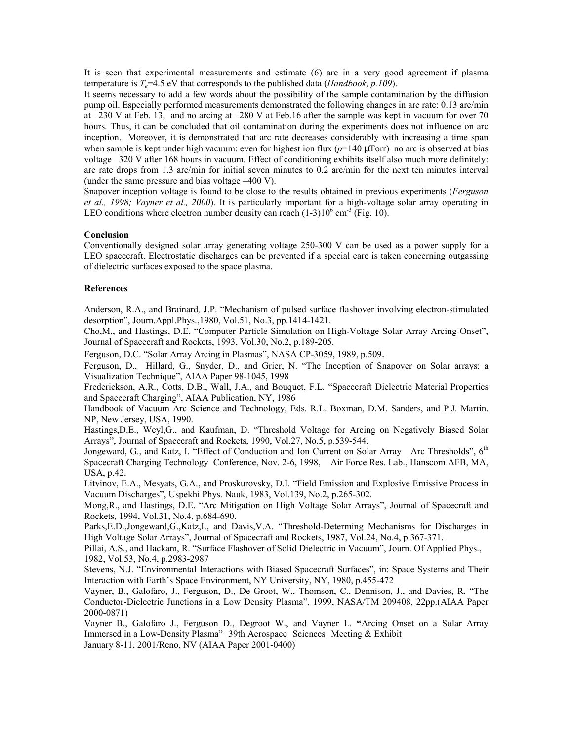It is seen that experimental measurements and estimate (6) are in a very good agreement if plasma temperature is  $T_e$ =4.5 eV that corresponds to the published data (*Handbook, p.109*).

It seems necessary to add a few words about the possibility of the sample contamination by the diffusion pump oil. Especially performed measurements demonstrated the following changes in arc rate: 0.13 arc/min at  $-230$  V at Feb. 13, and no arcing at  $-280$  V at Feb. 16 after the sample was kept in vacuum for over 70 hours. Thus, it can be concluded that oil contamination during the experiments does not influence on arc inception. Moreover, it is demonstrated that arc rate decreases considerably with increasing a time span when sample is kept under high vacuum: even for highest ion flux  $(p=140 \mu Torr)$  no arc is observed at bias voltage  $-320$  V after 168 hours in vacuum. Effect of conditioning exhibits itself also much more definitely: arc rate drops from 1.3 arc/min for initial seven minutes to 0.2 arc/min for the next ten minutes interval (under the same pressure and bias voltage  $-400$  V).

Snapover inception voltage is found to be close to the results obtained in previous experiments (*Ferguson et al., 1998; Vayner et al., 2000*). It is particularly important for a high-voltage solar array operating in LEO conditions where electron number density can reach  $(1-3)10^6$  cm<sup>-3</sup> (Fig. 10).

### **Conclusion**

Conventionally designed solar array generating voltage 250-300 V can be used as a power supply for a LEO spacecraft. Electrostatic discharges can be prevented if a special care is taken concerning outgassing of dielectric surfaces exposed to the space plasma.

## **References**

Anderson, R.A., and Brainard, J.P. "Mechanism of pulsed surface flashover involving electron-stimulated desorptionî, Journ.Appl.Phys.,1980, Vol.51, No.3, pp.1414-1421.

Cho, M., and Hastings, D.E. "Computer Particle Simulation on High-Voltage Solar Array Arcing Onset", Journal of Spacecraft and Rockets, 1993, Vol.30, No.2, p.189-205.

Ferguson, D.C. "Solar Array Arcing in Plasmas", NASA CP-3059, 1989, p.509.

Ferguson, D., Hillard, G., Snyder, D., and Grier, N. "The Inception of Snapover on Solar arrays: a Visualization Technique", AIAA Paper 98-1045, 1998

Frederickson, A.R., Cotts, D.B., Wall, J.A., and Bouquet, F.L. "Spacecraft Dielectric Material Properties and Spacecraft Charging", AIAA Publication, NY, 1986

Handbook of Vacuum Arc Science and Technology, Eds. R.L. Boxman, D.M. Sanders, and P.J. Martin. NP, New Jersey, USA, 1990.

Hastings, D.E., Weyl, G., and Kaufman, D. "Threshold Voltage for Arcing on Negatively Biased Solar Arrays", Journal of Spacecraft and Rockets, 1990, Vol.27, No.5, p.539-544.

Jongeward, G., and Katz, I. "Effect of Conduction and Ion Current on Solar Array Arc Thresholds", 6<sup>th</sup> Spacecraft Charging Technology Conference, Nov. 2-6, 1998, Air Force Res. Lab., Hanscom AFB, MA, USA, p.42.

Litvinov, E.A., Mesyats, G.A., and Proskurovsky, D.I. "Field Emission and Explosive Emissive Process in Vacuum Discharges", Uspekhi Phys. Nauk, 1983, Vol.139, No.2, p.265-302.

Mong, R., and Hastings, D.E. "Arc Mitigation on High Voltage Solar Arrays", Journal of Spacecraft and Rockets, 1994, Vol.31, No.4, p.684-690.

Parks, E.D., Jongeward, G., Katz, I., and Davis, V.A. "Threshold-Determing Mechanisms for Discharges in High Voltage Solar Arrays", Journal of Spacecraft and Rockets, 1987, Vol.24, No.4, p.367-371.

Pillai, A.S., and Hackam, R. "Surface Flashover of Solid Dielectric in Vacuum", Journ. Of Applied Phys., 1982, Vol.53, No.4, p.2983-2987

Stevens, N.J. "Environmental Interactions with Biased Spacecraft Surfaces", in: Space Systems and Their Interaction with Earth's Space Environment, NY University, NY, 1980, p.455-472

Vayner, B., Galofaro, J., Ferguson, D., De Groot, W., Thomson, C., Dennison, J., and Davies, R. "The Conductor-Dielectric Junctions in a Low Density Plasmaî, 1999, NASA/TM 209408, 22pp.(AIAA Paper 2000-0871)

Vayner B., Galofaro J., Ferguson D., Degroot W., and Vayner L. **ì**Arcing Onset on a Solar Array Immersed in a Low-Density Plasma" 39th Aerospace Sciences Meeting & Exhibit

January 8-11, 2001/Reno, NV (AIAA Paper 2001-0400)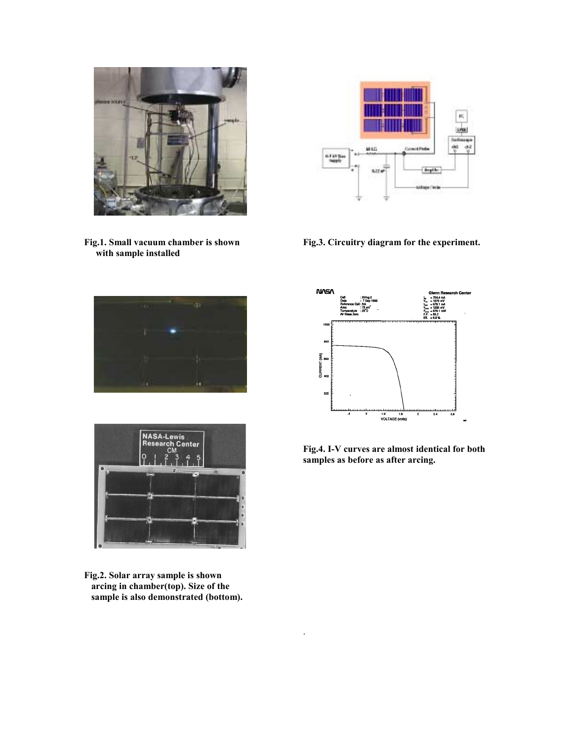

**Fig.1. Small vacuum chamber is shown with sample installed**





**Fig.2. Solar array sample is shown arcing in chamber(top). Size of the sample is also demonstrated (bottom).** 



**Fig.3. Circuitry diagram for the experiment.** 



**Fig.4. I-V curves are almost identical for both samples as before as after arcing.** 

.